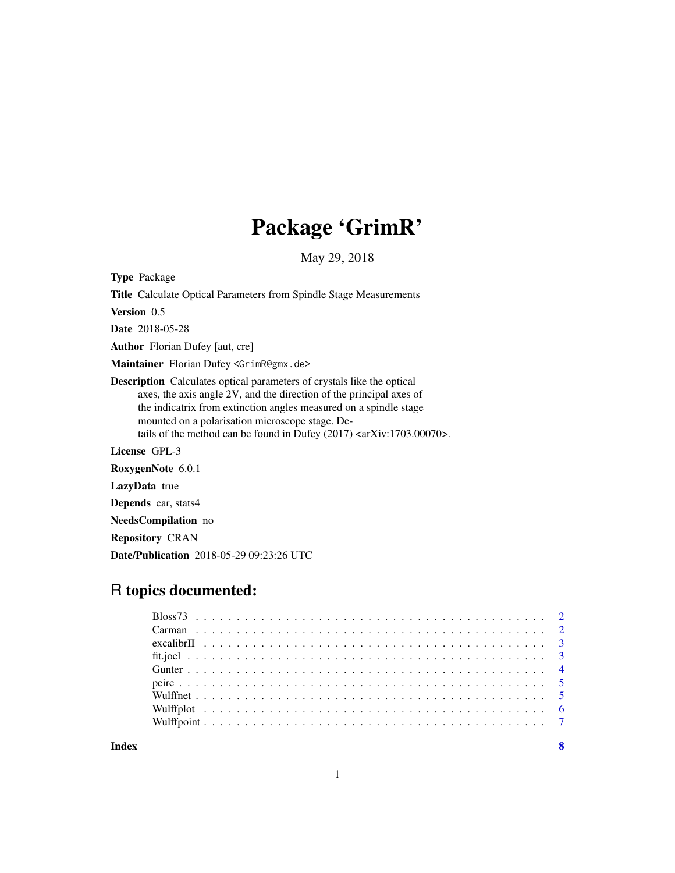## Package 'GrimR'

May 29, 2018

Type Package

Title Calculate Optical Parameters from Spindle Stage Measurements Version 0.5 Date 2018-05-28 Author Florian Dufey [aut, cre] Maintainer Florian Dufey <GrimR@gmx.de> Description Calculates optical parameters of crystals like the optical axes, the axis angle 2V, and the direction of the principal axes of the indicatrix from extinction angles measured on a spindle stage mounted on a polarisation microscope stage. Details of the method can be found in Dufey (2017) <arXiv:1703.00070>. License GPL-3 RoxygenNote 6.0.1 LazyData true Depends car, stats4 NeedsCompilation no Repository CRAN Date/Publication 2018-05-29 09:23:26 UTC

### R topics documented: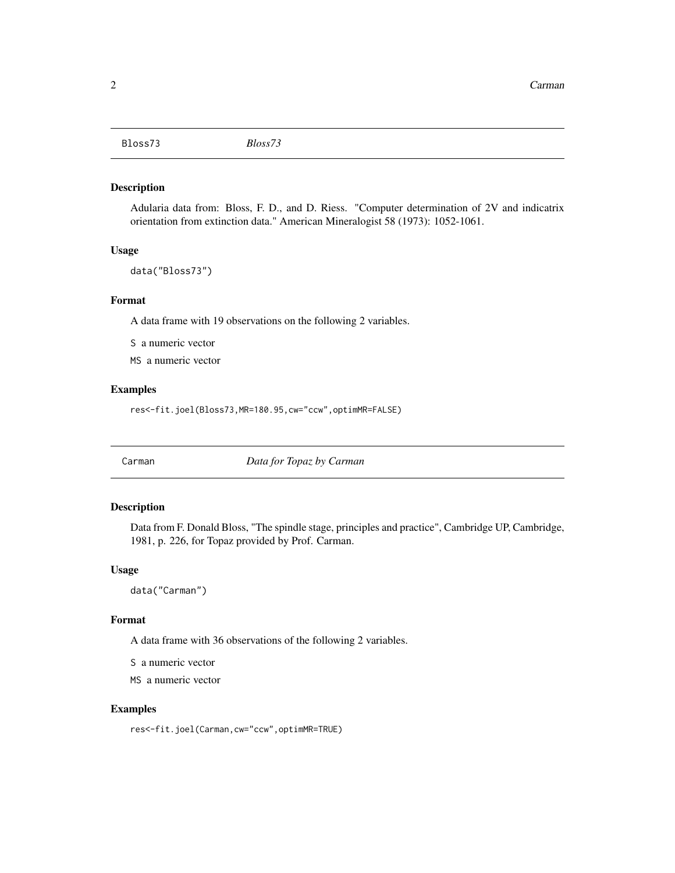<span id="page-1-0"></span>Bloss73 *Bloss73*

#### Description

Adularia data from: Bloss, F. D., and D. Riess. "Computer determination of 2V and indicatrix orientation from extinction data." American Mineralogist 58 (1973): 1052-1061.

#### Usage

data("Bloss73")

#### Format

A data frame with 19 observations on the following 2 variables.

S a numeric vector

MS a numeric vector

#### Examples

res<-fit.joel(Bloss73,MR=180.95,cw="ccw",optimMR=FALSE)

Carman *Data for Topaz by Carman*

#### Description

Data from F. Donald Bloss, "The spindle stage, principles and practice", Cambridge UP, Cambridge, 1981, p. 226, for Topaz provided by Prof. Carman.

#### Usage

data("Carman")

#### Format

A data frame with 36 observations of the following 2 variables.

S a numeric vector

MS a numeric vector

#### Examples

res<-fit.joel(Carman,cw="ccw",optimMR=TRUE)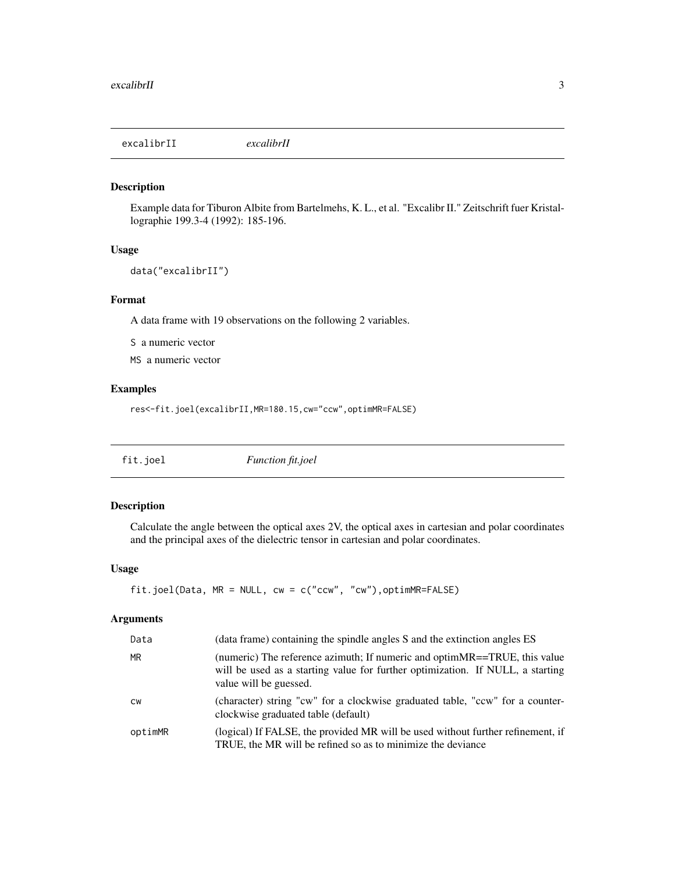<span id="page-2-0"></span>excalibrII *excalibrII*

#### Description

Example data for Tiburon Albite from Bartelmehs, K. L., et al. "Excalibr II." Zeitschrift fuer Kristallographie 199.3-4 (1992): 185-196.

#### Usage

```
data("excalibrII")
```
#### Format

A data frame with 19 observations on the following 2 variables.

S a numeric vector

MS a numeric vector

#### Examples

res<-fit.joel(excalibrII,MR=180.15,cw="ccw",optimMR=FALSE)

| fit.joel<br><i>Function fit.joel</i> |
|--------------------------------------|
|--------------------------------------|

#### Description

Calculate the angle between the optical axes 2V, the optical axes in cartesian and polar coordinates and the principal axes of the dielectric tensor in cartesian and polar coordinates.

#### Usage

```
fit.joel(Data, MR = NULL, cw = c("ccw", "cw"),optimMR=FALSE)
```
#### Arguments

| Data      | (data frame) containing the spindle angles S and the extinction angles ES                                                                                                             |
|-----------|---------------------------------------------------------------------------------------------------------------------------------------------------------------------------------------|
| <b>MR</b> | (numeric) The reference azimuth; If numeric and optimMR==TRUE, this value<br>will be used as a starting value for further optimization. If NULL, a starting<br>value will be guessed. |
| <b>CW</b> | (character) string "cw" for a clockwise graduated table, "ccw" for a counter-<br>clockwise graduated table (default)                                                                  |
| optimMR   | (logical) If FALSE, the provided MR will be used without further refinement, if<br>TRUE, the MR will be refined so as to minimize the deviance                                        |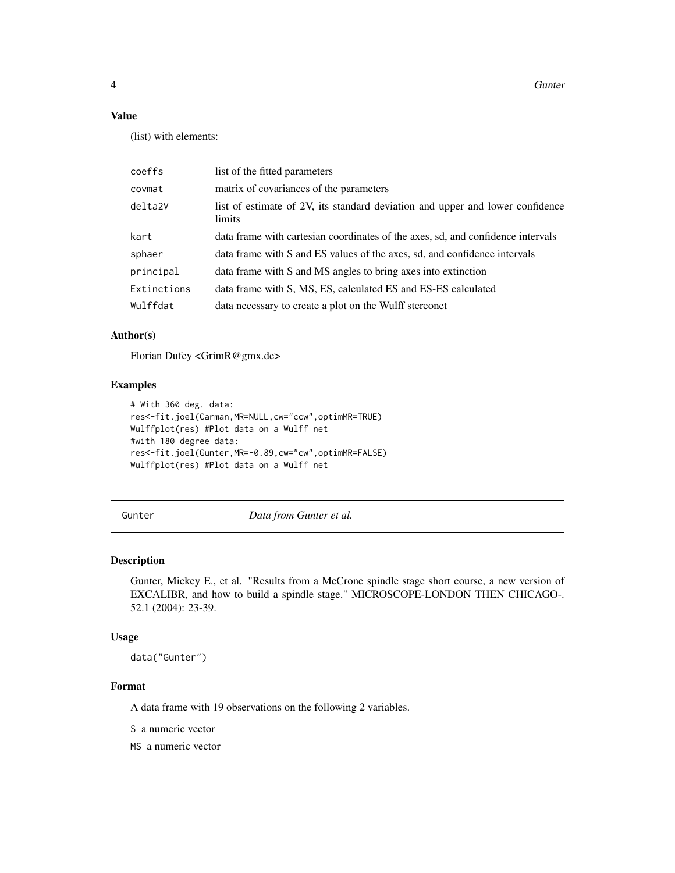<span id="page-3-0"></span>**4** Gunter of  $\alpha$  Gunter of  $\alpha$  Gunter of  $\alpha$  Gunter of  $\alpha$  Gunter of  $\alpha$ 

#### Value

(list) with elements:

| coeffs      | list of the fitted parameters                                                           |
|-------------|-----------------------------------------------------------------------------------------|
| covmat      | matrix of covariances of the parameters                                                 |
| delta2V     | list of estimate of 2V, its standard deviation and upper and lower confidence<br>limits |
| kart        | data frame with cartesian coordinates of the axes, sd, and confidence intervals         |
| sphaer      | data frame with S and ES values of the axes, sd, and confidence intervals               |
| principal   | data frame with S and MS angles to bring axes into extinction                           |
| Extinctions | data frame with S, MS, ES, calculated ES and ES-ES calculated                           |
| Wulffdat    | data necessary to create a plot on the Wulff stereonet                                  |

#### Author(s)

Florian Dufey <GrimR@gmx.de>

#### Examples

```
# With 360 deg. data:
res<-fit.joel(Carman,MR=NULL,cw="ccw",optimMR=TRUE)
Wulffplot(res) #Plot data on a Wulff net
#with 180 degree data:
res<-fit.joel(Gunter,MR=-0.89,cw="cw",optimMR=FALSE)
Wulffplot(res) #Plot data on a Wulff net
```
Gunter *Data from Gunter et al.*

#### Description

Gunter, Mickey E., et al. "Results from a McCrone spindle stage short course, a new version of EXCALIBR, and how to build a spindle stage." MICROSCOPE-LONDON THEN CHICAGO-. 52.1 (2004): 23-39.

#### Usage

data("Gunter")

#### Format

A data frame with 19 observations on the following 2 variables.

S a numeric vector

MS a numeric vector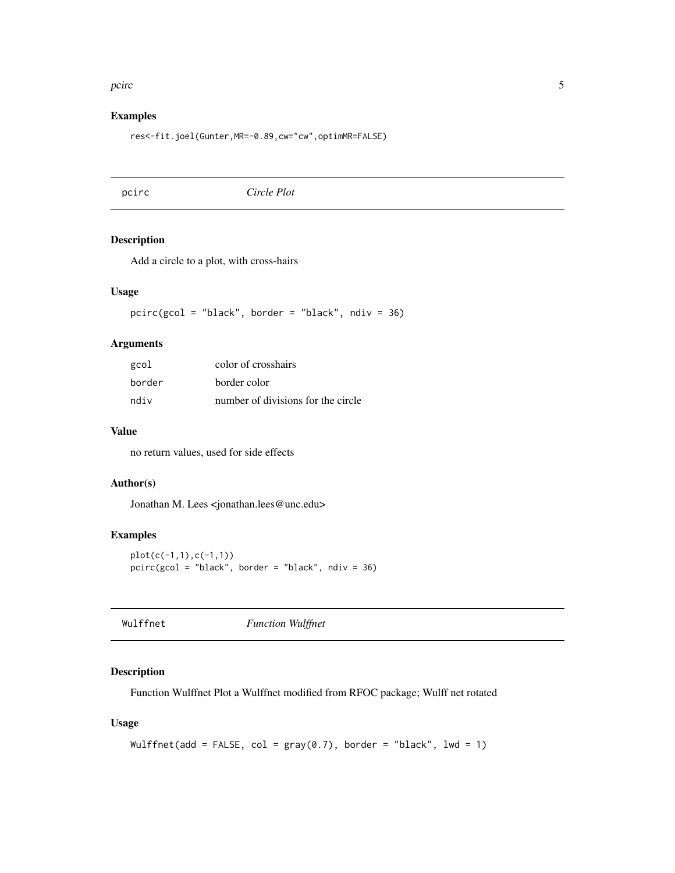#### <span id="page-4-0"></span>pcirc 5 and 5 and 5 and 5 and 5 and 5 and 5 and 5 and 5 and 5 and 5 and 5 and 5 and 5 and 5 and 5 and 5 and 5 and 5 and 5 and 5 and 5 and 5 and 5 and 5 and 5 and 5 and 5 and 5 and 5 and 5 and 5 and 5 and 5 and 5 and 5 and

#### Examples

res<-fit.joel(Gunter,MR=-0.89,cw="cw",optimMR=FALSE)

pcirc *Circle Plot*

#### Description

Add a circle to a plot, with cross-hairs

#### Usage

pcirc(gcol = "black", border = "black", ndiv = 36)

#### Arguments

| gcol   | color of crosshairs                |
|--------|------------------------------------|
| border | border color                       |
| ndiv   | number of divisions for the circle |

#### Value

no return values, used for side effects

#### Author(s)

Jonathan M. Lees <jonathan.lees@unc.edu>

#### Examples

```
plot(c(-1,1),c(-1,1))
prior(gcol = "black", border = "black", ndiv = 36)
```

| Wulffnet | <b>Function Wulffnet</b> |  |
|----------|--------------------------|--|
|----------|--------------------------|--|

#### Description

Function Wulffnet Plot a Wulffnet modified from RFOC package; Wulff net rotated

#### Usage

```
Wulffnet(add = FALSE, col = gray(0.7), border = "black", lwd = 1)
```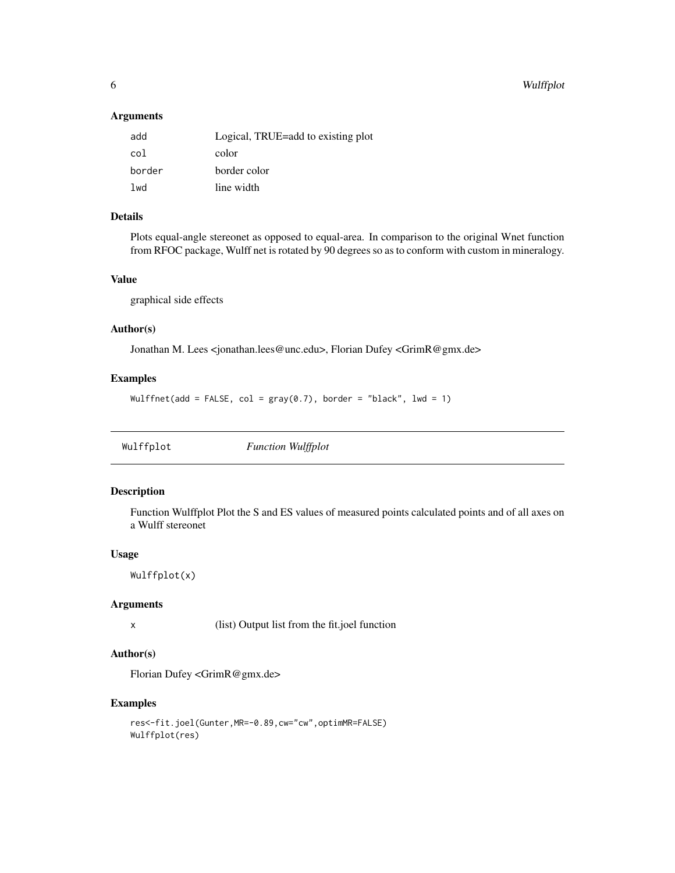#### <span id="page-5-0"></span>Arguments

| add    | Logical, TRUE=add to existing plot |
|--------|------------------------------------|
| col    | color                              |
| border | border color                       |
| l wd   | line width                         |

#### Details

Plots equal-angle stereonet as opposed to equal-area. In comparison to the original Wnet function from RFOC package, Wulff net is rotated by 90 degrees so as to conform with custom in mineralogy.

#### Value

graphical side effects

#### Author(s)

Jonathan M. Lees <jonathan.lees@unc.edu>, Florian Dufey <GrimR@gmx.de>

#### Examples

```
Wulffnet(add = FALSE, col = gray(0.7), border = "black", lwd = 1)
```
Wulffplot *Function Wulffplot*

#### Description

Function Wulffplot Plot the S and ES values of measured points calculated points and of all axes on a Wulff stereonet

#### Usage

```
Wulffplot(x)
```
#### Arguments

x (list) Output list from the fit.joel function

#### Author(s)

Florian Dufey <GrimR@gmx.de>

#### Examples

```
res<-fit.joel(Gunter,MR=-0.89,cw="cw",optimMR=FALSE)
Wulffplot(res)
```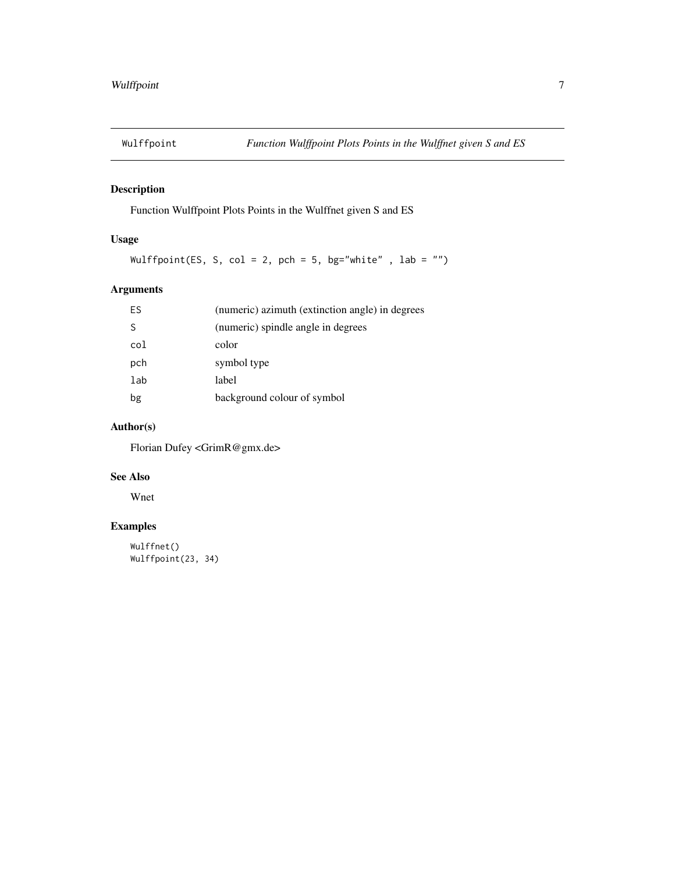<span id="page-6-0"></span>

#### Description

Function Wulffpoint Plots Points in the Wulffnet given S and ES

#### Usage

Wulffpoint(ES, S, col = 2, pch = 5, bg="white", lab = "")

#### Arguments

| ES  | (numeric) azimuth (extinction angle) in degrees |
|-----|-------------------------------------------------|
|     | (numeric) spindle angle in degrees              |
| col | color                                           |
| pch | symbol type                                     |
| lab | label                                           |
| bg  | background colour of symbol                     |

#### Author(s)

Florian Dufey <GrimR@gmx.de>

#### See Also

Wnet

#### Examples

```
Wulffnet()
Wulffpoint(23, 34)
```